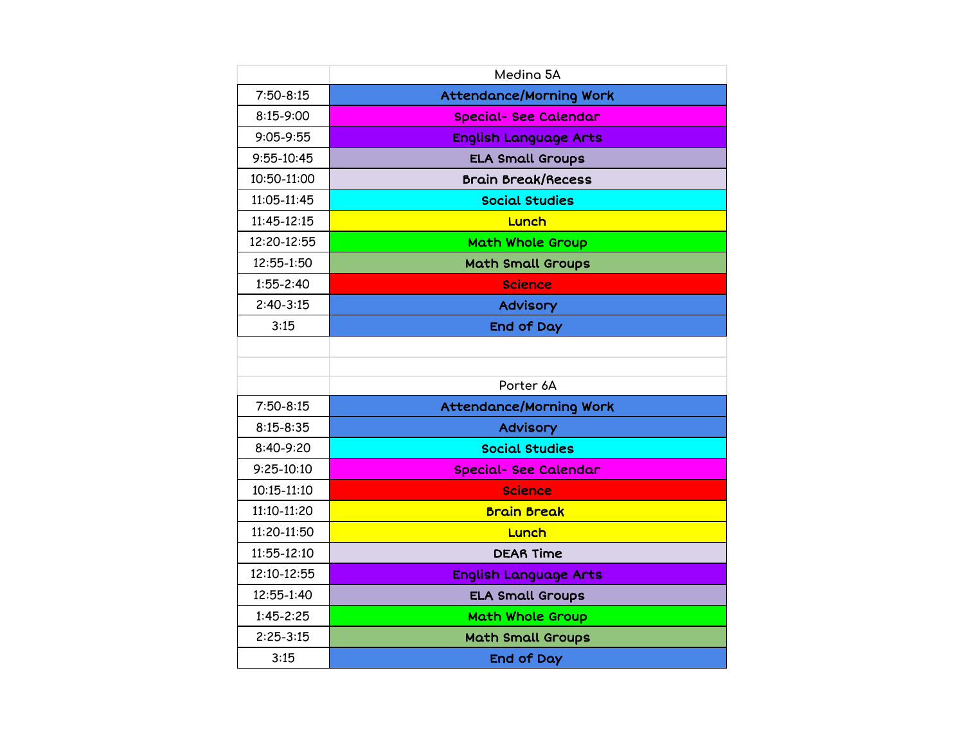|                 | Medina 5A                      |
|-----------------|--------------------------------|
| $7:50-8:15$     | <b>Attendance/Morning Work</b> |
| 8:15-9:00       | <b>Special- See Calendar</b>   |
| $9:05 - 9:55$   | <b>English Language Arts</b>   |
| $9:55 - 10:45$  | <b>ELA Small Groups</b>        |
| 10:50-11:00     | <b>Brain Break/Recess</b>      |
| 11:05-11:45     | <b>Social Studies</b>          |
| 11:45-12:15     | Lunch                          |
| 12:20-12:55     | <b>Math Whole Group</b>        |
| 12:55-1:50      | <b>Math Small Groups</b>       |
| $1:55 - 2:40$   | <b>Science</b>                 |
| $2:40-3:15$     | Advisory                       |
| 3:15            | End of Day                     |
|                 |                                |
|                 |                                |
|                 | Porter 6A                      |
| $7:50-8:15$     | <b>Attendance/Morning Work</b> |
| $8:15 - 8:35$   | <b>Advisory</b>                |
| 8:40-9:20       | <b>Social Studies</b>          |
| $9:25-10:10$    | <b>Special- See Calendar</b>   |
| $10:15 - 11:10$ | <b>Science</b>                 |
| 11:10-11:20     | <b>Brain Break</b>             |
| 11:20-11:50     | Lunch                          |
| 11:55-12:10     | <b>DEAR Time</b>               |
| 12:10-12:55     | <b>English Language Arts</b>   |
| 12:55-1:40      | <b>ELA Small Groups</b>        |
| $1:45 - 2:25$   | Math Whole Group               |
| $2:25-3:15$     | <b>Math Small Groups</b>       |
| 3:15            | <b>End of Day</b>              |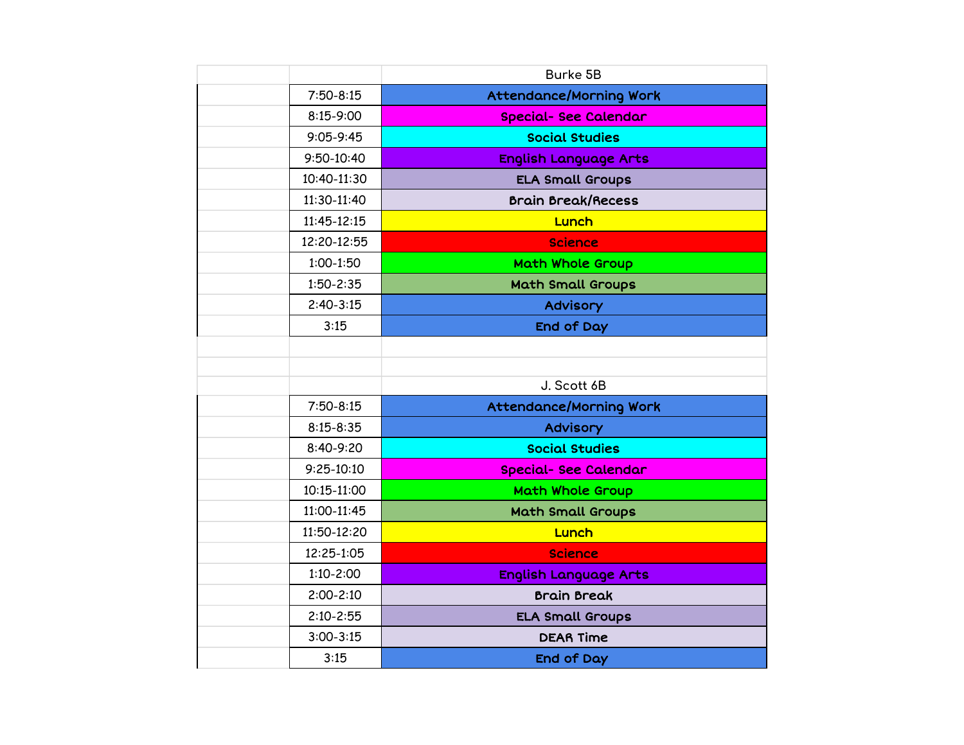|                | <b>Burke 5B</b>                |
|----------------|--------------------------------|
| $7:50-8:15$    | <b>Attendance/Morning Work</b> |
| $8:15 - 9:00$  | <b>Special- See Calendar</b>   |
| $9:05-9:45$    | <b>Social Studies</b>          |
| $9:50 - 10:40$ | <b>English Language Arts</b>   |
| 10:40-11:30    | <b>ELA Small Groups</b>        |
| 11:30-11:40    | <b>Brain Break/Recess</b>      |
| 11:45-12:15    | Lunch                          |
| 12:20-12:55    | <b>Science</b>                 |
| $1:00-1:50$    | <b>Math Whole Group</b>        |
| $1:50 - 2:35$  | <b>Math Small Groups</b>       |
| $2:40-3:15$    | <b>Advisory</b>                |
| 3:15           | End of Day                     |
|                |                                |
|                |                                |
|                | J. Scott 6B                    |
| $7:50-8:15$    | <b>Attendance/Morning Work</b> |
| $8:15 - 8:35$  | Advisory                       |
| 8:40-9:20      | <b>Social Studies</b>          |
| $9:25-10:10$   | <b>Special- See Calendar</b>   |
| 10:15-11:00    | <b>Math Whole Group</b>        |
| 11:00-11:45    | <b>Math Small Groups</b>       |
| 11:50-12:20    | Lunch                          |
| 12:25-1:05     | <b>Science</b>                 |
| $1:10 - 2:00$  | <b>English Language Arts</b>   |
| $2:00 - 2:10$  | <b>Brain Break</b>             |
| $2:10 - 2:55$  | <b>ELA Small Groups</b>        |
| $3:00 - 3:15$  | <b>DEAR Time</b>               |
| 3:15           | End of Day                     |